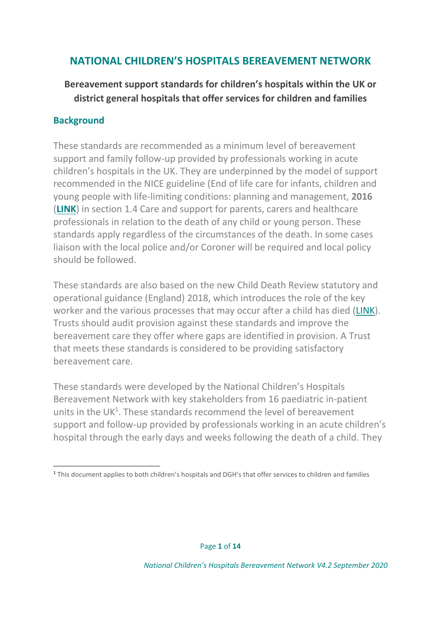# **NATIONAL CHILDREN'S HOSPITALS BEREAVEMENT NETWORK**

# **Bereavement support standards for children's hospitals within the UK or district general hospitals that offer services for children and families**

## **Background**

These standards are recommended as a minimum level of bereavement support and family follow-up provided by professionals working in acute children's hospitals in the UK. They are underpinned by the model of support recommended in the NICE guideline (End of life care for infants, children and young people with life-limiting conditions: planning and management, **2016** (**[LINK](https://www.nice.org.uk/guidance/ng61/chapter/Recommendations#care-and-support-for-parents-carers-and-healthcare-professionals-in-relation-to-the-death-of-a)**) in section 1.4 Care and support for parents, carers and healthcare professionals in relation to the death of any child or young person. These standards apply regardless of the circumstances of the death. In some cases liaison with the local police and/or Coroner will be required and local policy should be followed.

These standards are also based on the new Child Death Review statutory and operational guidance (England) 2018, which introduces the role of the key worker and the various processes that may occur after a child has died [\(LINK\)](https://www.gov.uk/government/publications/child-death-review-statutory-and-operational-guidance-england). Trusts should audit provision against these standards and improve the bereavement care they offer where gaps are identified in provision. A Trust that meets these standards is considered to be providing satisfactory bereavement care.

These standards were developed by the National Children's Hospitals Bereavement Network with key stakeholders from 16 paediatric in-patient units in the  $UK<sup>1</sup>$ . These standards recommend the level of bereavement support and follow-up provided by professionals working in an acute children's hospital through the early days and weeks following the death of a child. They

<sup>1</sup> This document applies to both children's hospitals and DGH's that offer services to children and families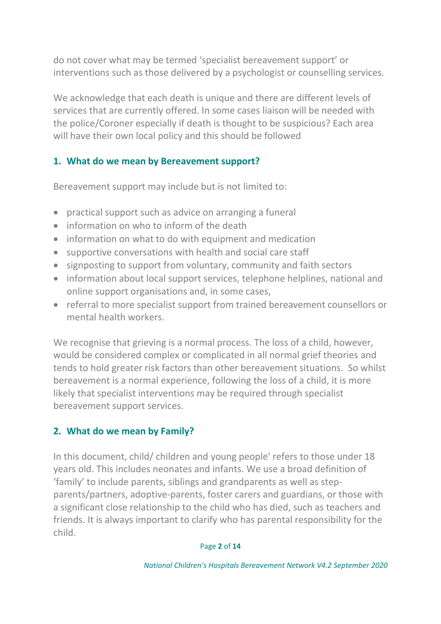do not cover what may be termed 'specialist bereavement support' or interventions such as those delivered by a psychologist or counselling services.

We acknowledge that each death is unique and there are different levels of services that are currently offered. In some cases liaison will be needed with the police/Coroner especially if death is thought to be suspicious? Each area will have their own local policy and this should be followed

# **1. What do we mean by Bereavement support?**

Bereavement support may include but is not limited to:

- practical support such as advice on arranging a funeral
- information on who to inform of the death
- information on what to do with equipment and medication
- supportive conversations with health and social care staff
- signposting to support from voluntary, community and faith sectors
- information about local support services, telephone helplines, national and online support organisations and, in some cases,
- referral to more specialist support from trained bereavement counsellors or mental health workers.

We recognise that grieving is a normal process. The loss of a child, however, would be considered complex or complicated in all normal grief theories and tends to hold greater risk factors than other bereavement situations. So whilst bereavement is a normal experience, following the loss of a child, it is more likely that specialist interventions may be required through specialist bereavement support services.

# **2. What do we mean by Family?**

In this document, child/ children and young people' refers to those under 18 years old. This includes neonates and infants. We use a broad definition of 'family' to include parents, siblings and grandparents as well as stepparents/partners, adoptive-parents, foster carers and guardians, or those with a significant close relationship to the child who has died, such as teachers and friends. It is always important to clarify who has parental responsibility for the child.

### Page **2** of **14**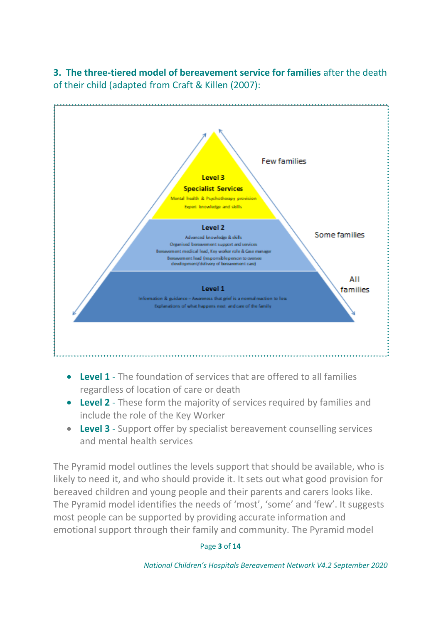**3. The three-tiered model of bereavement service for families** after the death of their child (adapted from Craft & Killen (2007):



- **Level 1** The foundation of services that are offered to all families regardless of location of care or death
- **Level 2** These form the majority of services required by families and include the role of the Key Worker
- **Level 3** Support offer by specialist bereavement counselling services and mental health services

The Pyramid model outlines the levels support that should be available, who is likely to need it, and who should provide it. It sets out what good provision for bereaved children and young people and their parents and carers looks like. The Pyramid model identifies the needs of 'most', 'some' and 'few'. It suggests most people can be supported by providing accurate information and emotional support through their family and community. The Pyramid model

#### Page **3** of **14**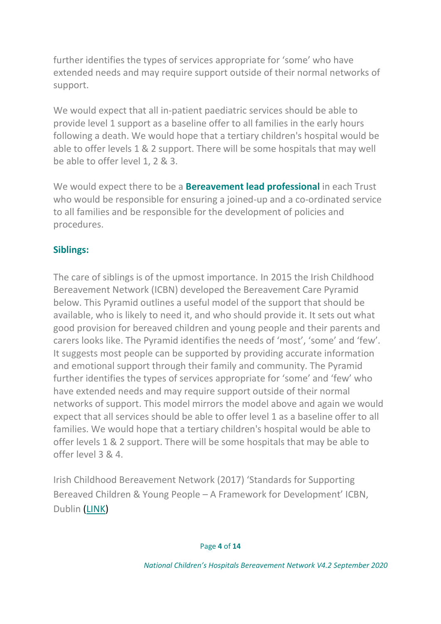further identifies the types of services appropriate for 'some' who have extended needs and may require support outside of their normal networks of support.

We would expect that all in-patient paediatric services should be able to provide level 1 support as a baseline offer to all families in the early hours following a death. We would hope that a tertiary children's hospital would be able to offer levels 1 & 2 support. There will be some hospitals that may well be able to offer level 1, 2 & 3.

We would expect there to be a **Bereavement lead professional** in each Trust who would be responsible for ensuring a joined-up and a co-ordinated service to all families and be responsible for the development of policies and procedures.

# **Siblings:**

The care of siblings is of the upmost importance. In 2015 the Irish Childhood Bereavement Network (ICBN) developed the Bereavement Care Pyramid below. This Pyramid outlines a useful model of the support that should be available, who is likely to need it, and who should provide it. It sets out what good provision for bereaved children and young people and their parents and carers looks like. The Pyramid identifies the needs of 'most', 'some' and 'few'. It suggests most people can be supported by providing accurate information and emotional support through their family and community. The Pyramid further identifies the types of services appropriate for 'some' and 'few' who have extended needs and may require support outside of their normal networks of support. This model mirrors the model above and again we would expect that all services should be able to offer level 1 as a baseline offer to all families. We would hope that a tertiary children's hospital would be able to offer levels 1 & 2 support. There will be some hospitals that may be able to offer level 3 & 4.

Irish Childhood Bereavement Network (2017) 'Standards for Supporting Bereaved Children & Young People – A Framework for Development' ICBN, Dublin [\(LINK\)](https://www.childhoodbereavement.ie/professionals/standards-supporting-bereaved-children/)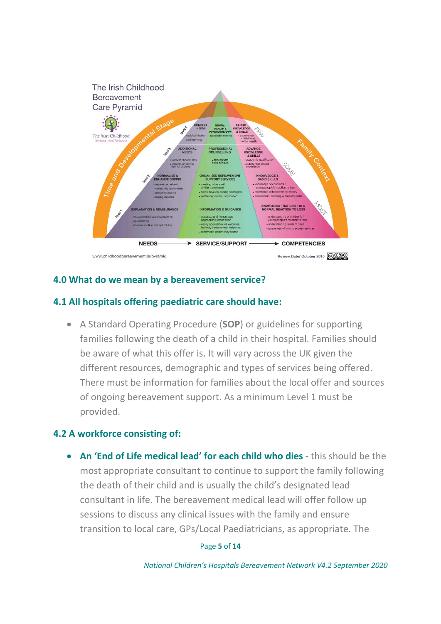

## **4.0 What do we mean by a bereavement service?**

## **4.1 All hospitals offering paediatric care should have:**

• A Standard Operating Procedure (**SOP**) or guidelines for supporting families following the death of a child in their hospital. Families should be aware of what this offer is. It will vary across the UK given the different resources, demographic and types of services being offered. There must be information for families about the local offer and sources of ongoing bereavement support. As a minimum Level 1 must be provided.

## **4.2 A workforce consisting of:**

• **An 'End of Life medical lead' for each child who dies -** this should be the most appropriate consultant to continue to support the family following the death of their child and is usually the child's designated lead consultant in life. The bereavement medical lead will offer follow up sessions to discuss any clinical issues with the family and ensure transition to local care, GPs/Local Paediatricians, as appropriate. The

#### Page **5** of **14**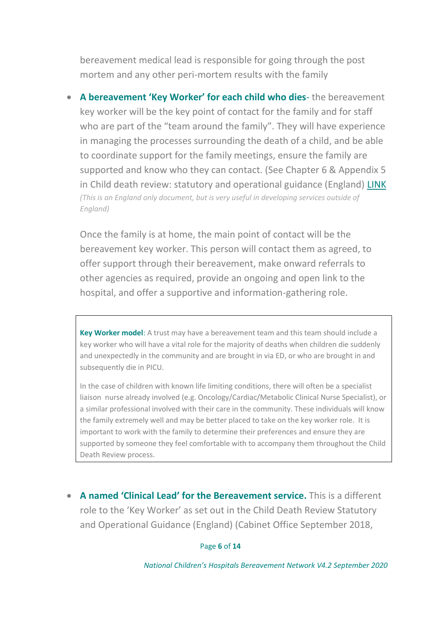bereavement medical lead is responsible for going through the post mortem and any other peri-mortem results with the family

• **A bereavement 'Key Worker' for each child who dies**- the bereavement key worker will be the key point of contact for the family and for staff who are part of the "team around the family". They will have experience in managing the processes surrounding the death of a child, and be able to coordinate support for the family meetings, ensure the family are supported and know who they can contact. (See Chapter 6 & Appendix 5 in Child death review: statutory and operational guidance (England) [LINK](https://www.gov.uk/government/publications/child-death-review-statutory-and-operational-guidance-england) *(This is an England only document, but is very useful in developing services outside of England)*

Once the family is at home, the main point of contact will be the bereavement key worker. This person will contact them as agreed, to offer support through their bereavement, make onward referrals to other agencies as required, provide an ongoing and open link to the hospital, and offer a supportive and information-gathering role.

**Key Worker model**: A trust may have a bereavement team and this team should include a key worker who will have a vital role for the majority of deaths when children die suddenly and unexpectedly in the community and are brought in via ED, or who are brought in and subsequently die in PICU.

In the case of children with known life limiting conditions, there will often be a specialist liaison nurse already involved (e.g. Oncology/Cardiac/Metabolic Clinical Nurse Specialist), or a similar professional involved with their care in the community. These individuals will know the family extremely well and may be better placed to take on the key worker role. It is important to work with the family to determine their preferences and ensure they are supported by someone they feel comfortable with to accompany them throughout the Child Death Review process.

• **A named 'Clinical Lead' for the Bereavement service.** This is a different role to the 'Key Worker' as set out in the Child Death Review Statutory and Operational Guidance (England) (Cabinet Office September 2018,

Page **6** of **14**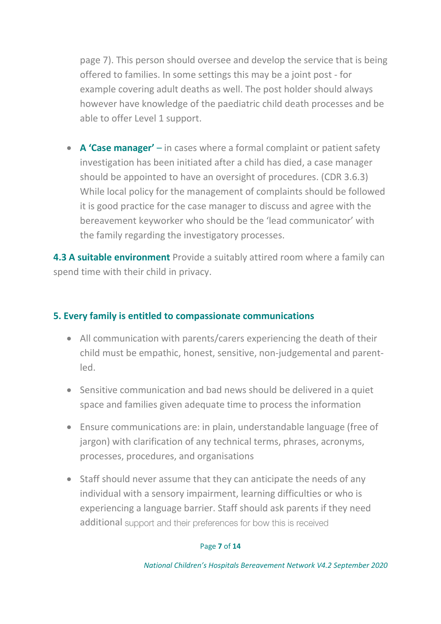page 7). This person should oversee and develop the service that is being offered to families. In some settings this may be a joint post - for example covering adult deaths as well. The post holder should always however have knowledge of the paediatric child death processes and be able to offer Level 1 support.

• **A 'Case manager'** – in cases where a formal complaint or patient safety investigation has been initiated after a child has died, a case manager should be appointed to have an oversight of procedures. (CDR 3.6.3) While local policy for the management of complaints should be followed it is good practice for the case manager to discuss and agree with the bereavement keyworker who should be the 'lead communicator' with the family regarding the investigatory processes.

**4.3 A suitable environment** Provide a suitably attired room where a family can spend time with their child in privacy.

## **5. Every family is entitled to compassionate communications**

- All communication with parents/carers experiencing the death of their child must be empathic, honest, sensitive, non-judgemental and parentled.
- Sensitive communication and bad news should be delivered in a quiet space and families given adequate time to process the information
- Ensure communications are: in plain, understandable language (free of jargon) with clarification of any technical terms, phrases, acronyms, processes, procedures, and organisations
- Staff should never assume that they can anticipate the needs of any individual with a sensory impairment, learning difficulties or who is experiencing a language barrier. Staff should ask parents if they need additional support and their preferences for bow this is received

#### Page **7** of **14**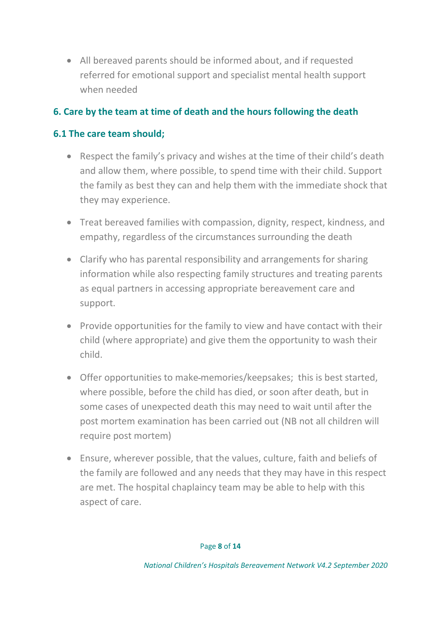• All bereaved parents should be informed about, and if requested referred for emotional support and specialist mental health support when needed

# **6. Care by the team at time of death and the hours following the death**

## **6.1 The care team should;**

- Respect the family's privacy and wishes at the time of their child's death and allow them, where possible, to spend time with their child. Support the family as best they can and help them with the immediate shock that they may experience.
- Treat bereaved families with compassion, dignity, respect, kindness, and empathy, regardless of the circumstances surrounding the death
- Clarify who has parental responsibility and arrangements for sharing information while also respecting family structures and treating parents as equal partners in accessing appropriate bereavement care and support.
- Provide opportunities for the family to view and have contact with their child (where appropriate) and give them the opportunity to wash their child.
- Offer opportunities to make memories/keepsakes; this is best started, where possible, before the child has died, or soon after death, but in some cases of unexpected death this may need to wait until after the post mortem examination has been carried out (NB not all children will require post mortem)
- Ensure, wherever possible, that the values, culture, faith and beliefs of the family are followed and any needs that they may have in this respect are met. The hospital chaplaincy team may be able to help with this aspect of care.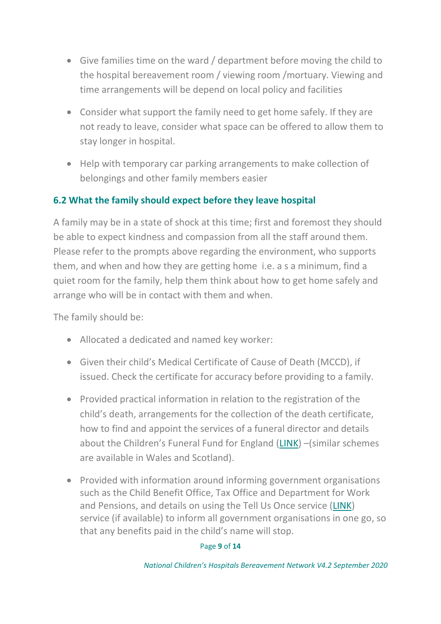- Give families time on the ward / department before moving the child to the hospital bereavement room / viewing room /mortuary. Viewing and time arrangements will be depend on local policy and facilities
- Consider what support the family need to get home safely. If they are not ready to leave, consider what space can be offered to allow them to stay longer in hospital.
- Help with temporary car parking arrangements to make collection of belongings and other family members easier

## **6.2 What the family should expect before they leave hospital**

A family may be in a state of shock at this time; first and foremost they should be able to expect kindness and compassion from all the staff around them. Please refer to the prompts above regarding the environment, who supports them, and when and how they are getting home i.e. a s a minimum, find a quiet room for the family, help them think about how to get home safely and arrange who will be in contact with them and when.

The family should be:

- Allocated a dedicated and named key worker:
- Given their child's Medical Certificate of Cause of Death (MCCD), if issued. Check the certificate for accuracy before providing to a family.
- Provided practical information in relation to the registration of the child's death, arrangements for the collection of the death certificate, how to find and appoint the services of a funeral director and details about the Children's Funeral Fund for England [\(LINK\)](https://www.gov.uk/child-funeral-costs) –(similar schemes are available in Wales and Scotland).
- Provided with information around informing government organisations such as the Child Benefit Office, Tax Office and Department for Work and Pensions, and details on using the Tell Us Once service [\(LINK\)](https://www.gov.uk/after-a-death/organisations-you-need-to-contact-and-tell-us-once) service (if available) to inform all government organisations in one go, so that any benefits paid in the child's name will stop.

### Page **9** of **14**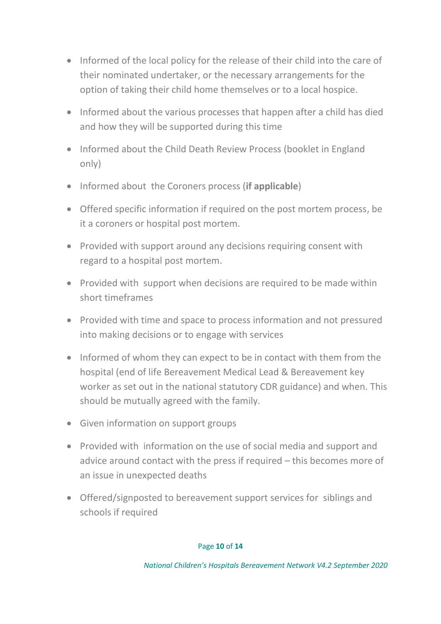- Informed of the local policy for the release of their child into the care of their nominated undertaker, or the necessary arrangements for the option of taking their child home themselves or to a local hospice.
- Informed about the various processes that happen after a child has died and how they will be supported during this time
- Informed about the Child Death Review Process (booklet in England only)
- Informed about the Coroners process (**if applicable**)
- Offered specific information if required on the post mortem process, be it a coroners or hospital post mortem.
- Provided with support around any decisions requiring consent with regard to a hospital post mortem.
- Provided with support when decisions are required to be made within short timeframes
- Provided with time and space to process information and not pressured into making decisions or to engage with services
- Informed of whom they can expect to be in contact with them from the hospital (end of life Bereavement Medical Lead & Bereavement key worker as set out in the national statutory CDR guidance) and when. This should be mutually agreed with the family.
- Given information on support groups
- Provided with information on the use of social media and support and advice around contact with the press if required – this becomes more of an issue in unexpected deaths
- Offered/signposted to bereavement support services for siblings and schools if required

#### Page **10** of **14**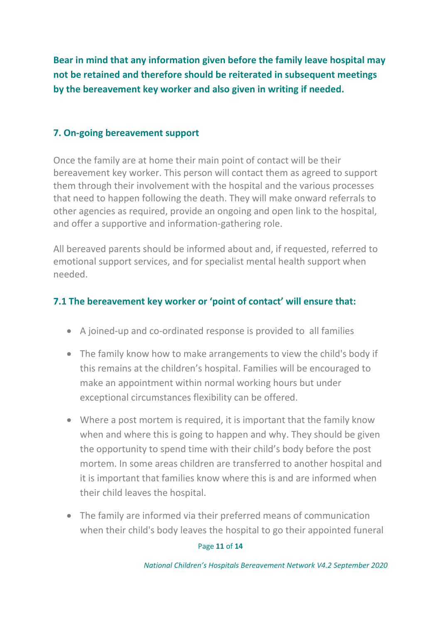**Bear in mind that any information given before the family leave hospital may not be retained and therefore should be reiterated in subsequent meetings by the bereavement key worker and also given in writing if needed.**

## **7. On-going bereavement support**

Once the family are at home their main point of contact will be their bereavement key worker. This person will contact them as agreed to support them through their involvement with the hospital and the various processes that need to happen following the death. They will make onward referrals to other agencies as required, provide an ongoing and open link to the hospital, and offer a supportive and information-gathering role.

All bereaved parents should be informed about and, if requested, referred to emotional support services, and for specialist mental health support when needed.

## **7.1 The bereavement key worker or 'point of contact' will ensure that:**

- A joined-up and co-ordinated response is provided to all families
- The family know how to make arrangements to view the child's body if this remains at the children's hospital. Families will be encouraged to make an appointment within normal working hours but under exceptional circumstances flexibility can be offered.
- Where a post mortem is required, it is important that the family know when and where this is going to happen and why. They should be given the opportunity to spend time with their child's body before the post mortem. In some areas children are transferred to another hospital and it is important that families know where this is and are informed when their child leaves the hospital.
- The family are informed via their preferred means of communication when their child's body leaves the hospital to go their appointed funeral

#### Page **11** of **14**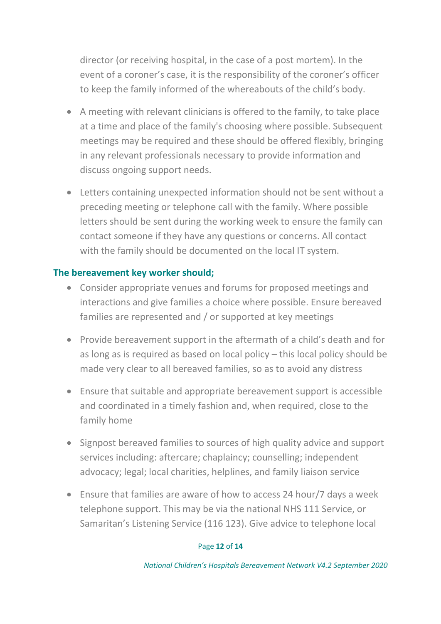director (or receiving hospital, in the case of a post mortem). In the event of a coroner's case, it is the responsibility of the coroner's officer to keep the family informed of the whereabouts of the child's body.

- A meeting with relevant clinicians is offered to the family, to take place at a time and place of the family's choosing where possible. Subsequent meetings may be required and these should be offered flexibly, bringing in any relevant professionals necessary to provide information and discuss ongoing support needs.
- Letters containing unexpected information should not be sent without a preceding meeting or telephone call with the family. Where possible letters should be sent during the working week to ensure the family can contact someone if they have any questions or concerns. All contact with the family should be documented on the local IT system.

## **The bereavement key worker should;**

- Consider appropriate venues and forums for proposed meetings and interactions and give families a choice where possible. Ensure bereaved families are represented and / or supported at key meetings
- Provide bereavement support in the aftermath of a child's death and for as long as is required as based on local policy – this local policy should be made very clear to all bereaved families, so as to avoid any distress
- Ensure that suitable and appropriate bereavement support is accessible and coordinated in a timely fashion and, when required, close to the family home
- Signpost bereaved families to sources of high quality advice and support services including: aftercare; chaplaincy; counselling; independent advocacy; legal; local charities, helplines, and family liaison service
- Ensure that families are aware of how to access 24 hour/7 days a week telephone support. This may be via the national NHS 111 Service, or Samaritan's Listening Service (116 123). Give advice to telephone local

#### Page **12** of **14**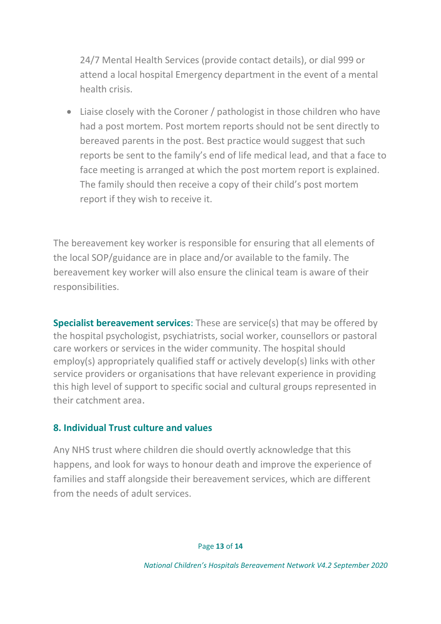24/7 Mental Health Services (provide contact details), or dial 999 or attend a local hospital Emergency department in the event of a mental health crisis.

• Liaise closely with the Coroner / pathologist in those children who have had a post mortem. Post mortem reports should not be sent directly to bereaved parents in the post. Best practice would suggest that such reports be sent to the family's end of life medical lead, and that a face to face meeting is arranged at which the post mortem report is explained. The family should then receive a copy of their child's post mortem report if they wish to receive it.

The bereavement key worker is responsible for ensuring that all elements of the local SOP/guidance are in place and/or available to the family. The bereavement key worker will also ensure the clinical team is aware of their responsibilities.

**Specialist bereavement services:** These are service(s) that may be offered by the hospital psychologist, psychiatrists, social worker, counsellors or pastoral care workers or services in the wider community. The hospital should employ(s) appropriately qualified staff or actively develop(s) links with other service providers or organisations that have relevant experience in providing this high level of support to specific social and cultural groups represented in their catchment area.

### **8. Individual Trust culture and values**

Any NHS trust where children die should overtly acknowledge that this happens, and look for ways to honour death and improve the experience of families and staff alongside their bereavement services, which are different from the needs of adult services.